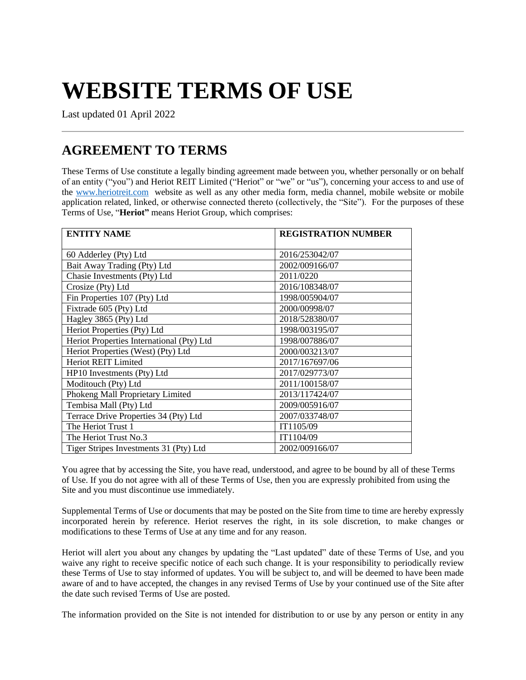# **WEBSITE TERMS OF USE**

Last updated 01 April 2022

## **AGREEMENT TO TERMS**

These Terms of Use constitute a legally binding agreement made between you, whether personally or on behalf of an entity ("you") and Heriot REIT Limited ("Heriot" or "we" or "us"), concerning your access to and use of the [www.heriotreit.com](http://www.heriotreit.com/) website as well as any other media form, media channel, mobile website or mobile application related, linked, or otherwise connected thereto (collectively, the "Site"). For the purposes of these Terms of Use, "**Heriot"** means Heriot Group, which comprises:

| <b>ENTITY NAME</b>                        | <b>REGISTRATION NUMBER</b> |
|-------------------------------------------|----------------------------|
| 60 Adderley (Pty) Ltd                     | 2016/253042/07             |
| Bait Away Trading (Pty) Ltd               | 2002/009166/07             |
| Chasie Investments (Pty) Ltd              | 2011/0220                  |
| Crosize (Pty) Ltd                         | 2016/108348/07             |
| Fin Properties 107 (Pty) Ltd              | 1998/005904/07             |
| Fixtrade 605 (Pty) Ltd                    | 2000/00998/07              |
| Hagley 3865 (Pty) Ltd                     | 2018/528380/07             |
| Heriot Properties (Pty) Ltd               | 1998/003195/07             |
| Heriot Properties International (Pty) Ltd | 1998/007886/07             |
| Heriot Properties (West) (Pty) Ltd        | 2000/003213/07             |
| <b>Heriot REIT Limited</b>                | 2017/167697/06             |
| HP10 Investments (Pty) Ltd                | 2017/029773/07             |
| Moditouch (Pty) Ltd                       | 2011/100158/07             |
| Phokeng Mall Proprietary Limited          | 2013/117424/07             |
| Tembisa Mall (Pty) Ltd                    | 2009/005916/07             |
| Terrace Drive Properties 34 (Pty) Ltd     | 2007/033748/07             |
| The Heriot Trust 1                        | IT1105/09                  |
| The Heriot Trust No.3                     | IT1104/09                  |
| Tiger Stripes Investments 31 (Pty) Ltd    | 2002/009166/07             |

You agree that by accessing the Site, you have read, understood, and agree to be bound by all of these Terms of Use. If you do not agree with all of these Terms of Use, then you are expressly prohibited from using the Site and you must discontinue use immediately.

Supplemental Terms of Use or documents that may be posted on the Site from time to time are hereby expressly incorporated herein by reference. Heriot reserves the right, in its sole discretion, to make changes or modifications to these Terms of Use at any time and for any reason.

Heriot will alert you about any changes by updating the "Last updated" date of these Terms of Use, and you waive any right to receive specific notice of each such change. It is your responsibility to periodically review these Terms of Use to stay informed of updates. You will be subject to, and will be deemed to have been made aware of and to have accepted, the changes in any revised Terms of Use by your continued use of the Site after the date such revised Terms of Use are posted.

The information provided on the Site is not intended for distribution to or use by any person or entity in any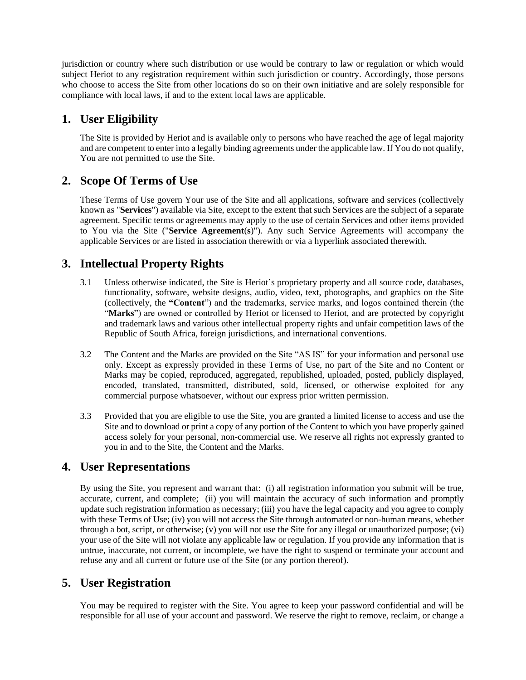jurisdiction or country where such distribution or use would be contrary to law or regulation or which would subject Heriot to any registration requirement within such jurisdiction or country. Accordingly, those persons who choose to access the Site from other locations do so on their own initiative and are solely responsible for compliance with local laws, if and to the extent local laws are applicable.

## **1. User Eligibility**

The Site is provided by Heriot and is available only to persons who have reached the age of legal majority and are competent to enter into a legally binding agreements under the applicable law. If You do not qualify, You are not permitted to use the Site.

## **2. Scope Of Terms of Use**

These Terms of Use govern Your use of the Site and all applications, software and services (collectively known as "**Services**") available via Site, except to the extent that such Services are the subject of a separate agreement. Specific terms or agreements may apply to the use of certain Services and other items provided to You via the Site ("**Service Agreement**(**s**)"). Any such Service Agreements will accompany the applicable Services or are listed in association therewith or via a hyperlink associated therewith.

## **3. Intellectual Property Rights**

- 3.1 Unless otherwise indicated, the Site is Heriot's proprietary property and all source code, databases, functionality, software, website designs, audio, video, text, photographs, and graphics on the Site (collectively, the **"Content**") and the trademarks, service marks, and logos contained therein (the "**Marks**") are owned or controlled by Heriot or licensed to Heriot, and are protected by copyright and trademark laws and various other intellectual property rights and unfair competition laws of the Republic of South Africa, foreign jurisdictions, and international conventions.
- 3.2 The Content and the Marks are provided on the Site "AS IS" for your information and personal use only. Except as expressly provided in these Terms of Use, no part of the Site and no Content or Marks may be copied, reproduced, aggregated, republished, uploaded, posted, publicly displayed, encoded, translated, transmitted, distributed, sold, licensed, or otherwise exploited for any commercial purpose whatsoever, without our express prior written permission.
- 3.3 Provided that you are eligible to use the Site, you are granted a limited license to access and use the Site and to download or print a copy of any portion of the Content to which you have properly gained access solely for your personal, non-commercial use. We reserve all rights not expressly granted to you in and to the Site, the Content and the Marks.

## **4. User Representations**

By using the Site, you represent and warrant that: (i) all registration information you submit will be true, accurate, current, and complete; (ii) you will maintain the accuracy of such information and promptly update such registration information as necessary; (iii) you have the legal capacity and you agree to comply with these Terms of Use; (iv) you will not access the Site through automated or non-human means, whether through a bot, script, or otherwise; (v) you will not use the Site for any illegal or unauthorized purpose; (vi) your use of the Site will not violate any applicable law or regulation. If you provide any information that is untrue, inaccurate, not current, or incomplete, we have the right to suspend or terminate your account and refuse any and all current or future use of the Site (or any portion thereof).

## **5. User Registration**

You may be required to register with the Site. You agree to keep your password confidential and will be responsible for all use of your account and password. We reserve the right to remove, reclaim, or change a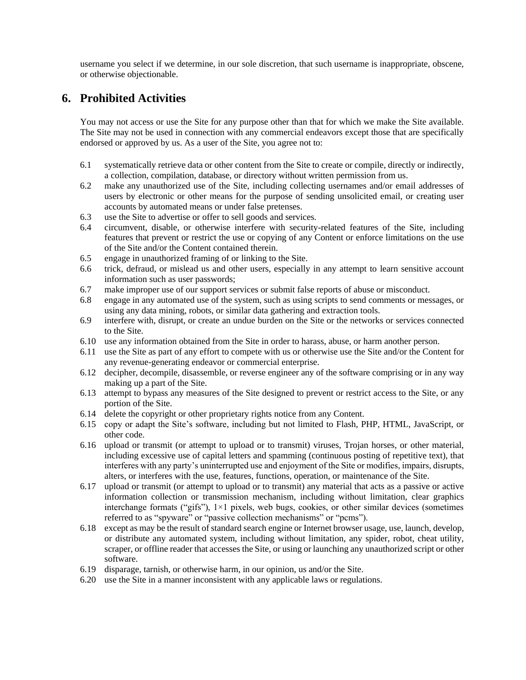username you select if we determine, in our sole discretion, that such username is inappropriate, obscene, or otherwise objectionable.

#### **6. Prohibited Activities**

You may not access or use the Site for any purpose other than that for which we make the Site available. The Site may not be used in connection with any commercial endeavors except those that are specifically endorsed or approved by us. As a user of the Site, you agree not to:

- 6.1 systematically retrieve data or other content from the Site to create or compile, directly or indirectly, a collection, compilation, database, or directory without written permission from us.
- 6.2 make any unauthorized use of the Site, including collecting usernames and/or email addresses of users by electronic or other means for the purpose of sending unsolicited email, or creating user accounts by automated means or under false pretenses.
- 6.3 use the Site to advertise or offer to sell goods and services.
- 6.4 circumvent, disable, or otherwise interfere with security-related features of the Site, including features that prevent or restrict the use or copying of any Content or enforce limitations on the use of the Site and/or the Content contained therein.
- 6.5 engage in unauthorized framing of or linking to the Site.
- 6.6 trick, defraud, or mislead us and other users, especially in any attempt to learn sensitive account information such as user passwords;
- 6.7 make improper use of our support services or submit false reports of abuse or misconduct.
- 6.8 engage in any automated use of the system, such as using scripts to send comments or messages, or using any data mining, robots, or similar data gathering and extraction tools.
- 6.9 interfere with, disrupt, or create an undue burden on the Site or the networks or services connected to the Site.
- 6.10 use any information obtained from the Site in order to harass, abuse, or harm another person.
- 6.11 use the Site as part of any effort to compete with us or otherwise use the Site and/or the Content for any revenue-generating endeavor or commercial enterprise.
- 6.12 decipher, decompile, disassemble, or reverse engineer any of the software comprising or in any way making up a part of the Site.
- 6.13 attempt to bypass any measures of the Site designed to prevent or restrict access to the Site, or any portion of the Site.
- 6.14 delete the copyright or other proprietary rights notice from any Content.
- 6.15 copy or adapt the Site's software, including but not limited to Flash, PHP, HTML, JavaScript, or other code.
- 6.16 upload or transmit (or attempt to upload or to transmit) viruses, Trojan horses, or other material, including excessive use of capital letters and spamming (continuous posting of repetitive text), that interferes with any party's uninterrupted use and enjoyment of the Site or modifies, impairs, disrupts, alters, or interferes with the use, features, functions, operation, or maintenance of the Site.
- 6.17 upload or transmit (or attempt to upload or to transmit) any material that acts as a passive or active information collection or transmission mechanism, including without limitation, clear graphics interchange formats ("gifs"),  $1\times1$  pixels, web bugs, cookies, or other similar devices (sometimes referred to as "spyware" or "passive collection mechanisms" or "pcms").
- 6.18 except as may be the result of standard search engine or Internet browser usage, use, launch, develop, or distribute any automated system, including without limitation, any spider, robot, cheat utility, scraper, or offline reader that accesses the Site, or using or launching any unauthorized script or other software.
- 6.19 disparage, tarnish, or otherwise harm, in our opinion, us and/or the Site.
- 6.20 use the Site in a manner inconsistent with any applicable laws or regulations.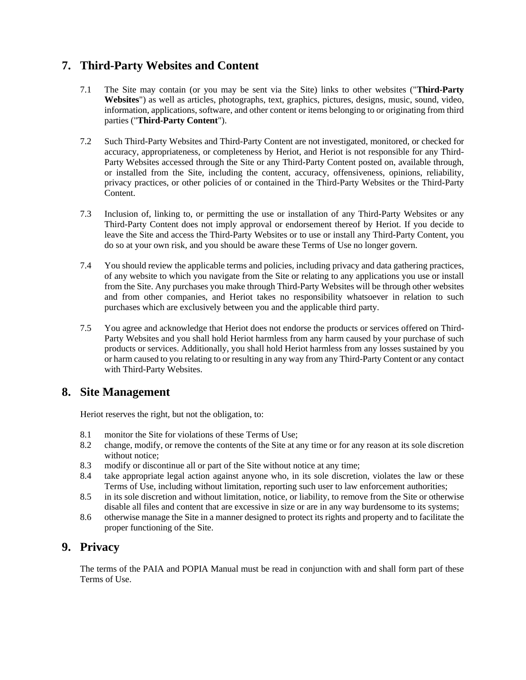## **7. Third-Party Websites and Content**

- 7.1 The Site may contain (or you may be sent via the Site) links to other websites ("**Third-Party Websites**") as well as articles, photographs, text, graphics, pictures, designs, music, sound, video, information, applications, software, and other content or items belonging to or originating from third parties ("**Third-Party Content**").
- 7.2 Such Third-Party Websites and Third-Party Content are not investigated, monitored, or checked for accuracy, appropriateness, or completeness by Heriot, and Heriot is not responsible for any Third-Party Websites accessed through the Site or any Third-Party Content posted on, available through, or installed from the Site, including the content, accuracy, offensiveness, opinions, reliability, privacy practices, or other policies of or contained in the Third-Party Websites or the Third-Party Content.
- 7.3 Inclusion of, linking to, or permitting the use or installation of any Third-Party Websites or any Third-Party Content does not imply approval or endorsement thereof by Heriot. If you decide to leave the Site and access the Third-Party Websites or to use or install any Third-Party Content, you do so at your own risk, and you should be aware these Terms of Use no longer govern.
- 7.4 You should review the applicable terms and policies, including privacy and data gathering practices, of any website to which you navigate from the Site or relating to any applications you use or install from the Site. Any purchases you make through Third-Party Websites will be through other websites and from other companies, and Heriot takes no responsibility whatsoever in relation to such purchases which are exclusively between you and the applicable third party.
- 7.5 You agree and acknowledge that Heriot does not endorse the products or services offered on Third-Party Websites and you shall hold Heriot harmless from any harm caused by your purchase of such products or services. Additionally, you shall hold Heriot harmless from any losses sustained by you or harm caused to you relating to or resulting in any way from any Third-Party Content or any contact with Third-Party Websites.

#### **8. Site Management**

Heriot reserves the right, but not the obligation, to:

- 8.1 monitor the Site for violations of these Terms of Use;
- 8.2 change, modify, or remove the contents of the Site at any time or for any reason at its sole discretion without notice;
- 8.3 modify or discontinue all or part of the Site without notice at any time;
- 8.4 take appropriate legal action against anyone who, in its sole discretion, violates the law or these Terms of Use, including without limitation, reporting such user to law enforcement authorities;
- 8.5 in its sole discretion and without limitation, notice, or liability, to remove from the Site or otherwise disable all files and content that are excessive in size or are in any way burdensome to its systems;
- 8.6 otherwise manage the Site in a manner designed to protect its rights and property and to facilitate the proper functioning of the Site.

#### **9. Privacy**

The terms of the PAIA and POPIA Manual must be read in conjunction with and shall form part of these Terms of Use.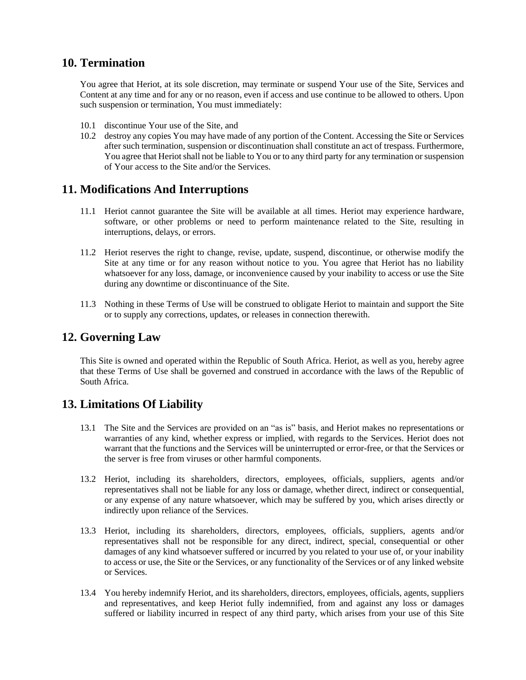#### **10. Termination**

You agree that Heriot, at its sole discretion, may terminate or suspend Your use of the Site, Services and Content at any time and for any or no reason, even if access and use continue to be allowed to others. Upon such suspension or termination, You must immediately:

- 10.1 discontinue Your use of the Site, and
- 10.2 destroy any copies You may have made of any portion of the Content. Accessing the Site or Services after such termination, suspension or discontinuation shall constitute an act of trespass. Furthermore, You agree that Heriot shall not be liable to You or to any third party for any termination or suspension of Your access to the Site and/or the Services.

#### **11. Modifications And Interruptions**

- 11.1 Heriot cannot guarantee the Site will be available at all times. Heriot may experience hardware, software, or other problems or need to perform maintenance related to the Site, resulting in interruptions, delays, or errors.
- 11.2 Heriot reserves the right to change, revise, update, suspend, discontinue, or otherwise modify the Site at any time or for any reason without notice to you. You agree that Heriot has no liability whatsoever for any loss, damage, or inconvenience caused by your inability to access or use the Site during any downtime or discontinuance of the Site.
- 11.3 Nothing in these Terms of Use will be construed to obligate Heriot to maintain and support the Site or to supply any corrections, updates, or releases in connection therewith.

#### **12. Governing Law**

This Site is owned and operated within the Republic of South Africa. Heriot, as well as you, hereby agree that these Terms of Use shall be governed and construed in accordance with the laws of the Republic of South Africa.

#### **13. Limitations Of Liability**

- 13.1 The Site and the Services are provided on an "as is" basis, and Heriot makes no representations or warranties of any kind, whether express or implied, with regards to the Services. Heriot does not warrant that the functions and the Services will be uninterrupted or error-free, or that the Services or the server is free from viruses or other harmful components.
- 13.2 Heriot, including its shareholders, directors, employees, officials, suppliers, agents and/or representatives shall not be liable for any loss or damage, whether direct, indirect or consequential, or any expense of any nature whatsoever, which may be suffered by you, which arises directly or indirectly upon reliance of the Services.
- 13.3 Heriot, including its shareholders, directors, employees, officials, suppliers, agents and/or representatives shall not be responsible for any direct, indirect, special, consequential or other damages of any kind whatsoever suffered or incurred by you related to your use of, or your inability to access or use, the Site or the Services, or any functionality of the Services or of any linked website or Services.
- 13.4 You hereby indemnify Heriot, and its shareholders, directors, employees, officials, agents, suppliers and representatives, and keep Heriot fully indemnified, from and against any loss or damages suffered or liability incurred in respect of any third party, which arises from your use of this Site